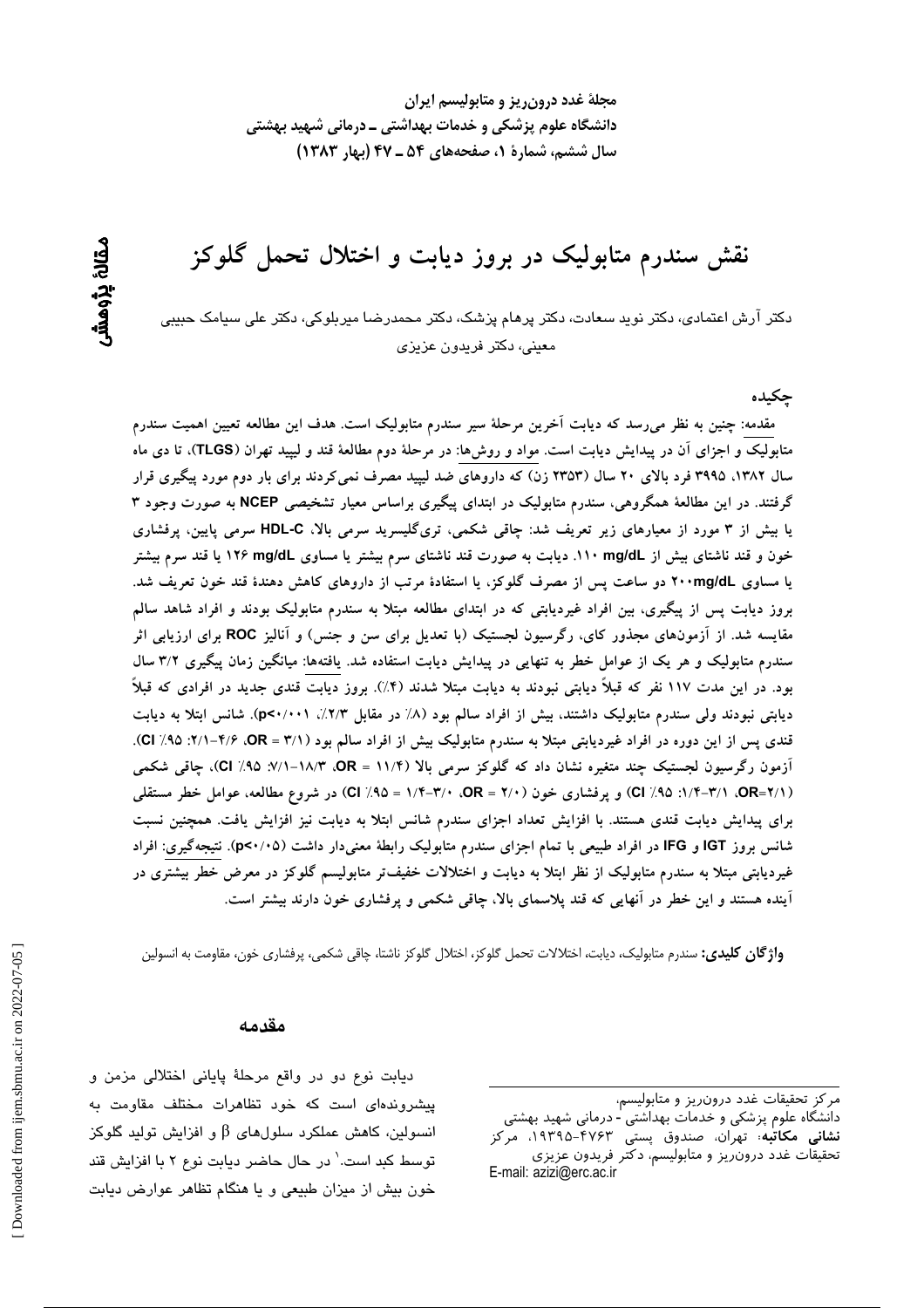مجلهٔ غدد درون ریز و متابولیسم ایران دانشگاه علوم پزشکی و خدمات بهداشتی ــ درمانی شهید بهشتی سال ششم، شمارة 1، صفحههای ۵۴ ـ ۴۷ (بهار ۱۳۸۳)

نقش سندرم متابولیک در بروز دیابت و اختلال تحمل گلوکز

دکتر آرش اعتمادی، دکتر نوید سعادت، دکتر پرهام پزشک، دکتر محمدرضا میربلوکی، دکتر علی سیامک حبیبی معيني، دکتر فريدون عزيزي

ڃکيده

مقدمه: چنین به نظر میرسد که دیابت آخرین مرحلهٔ سیر سندرم متابولیک است. هدف این مطالعه تعیین اهمیت سندرم متابولیک و اجزای آن در پیدایش دیابت است. مواد و روشها: در مرحلهٔ دوم مطالعهٔ قند و لیپید تهران (TLGS)، تا دی ماه سال ۱۳۸۲، ۳۹۹۵ فرد بالای ۲۰ سال (۲۳۵۳ زن) که داروهای ضد لیپید مصرف نمی کردند برای بار دوم مورد پیگیری قرار گرفتند. در این مطالعهٔ همگروهی، سندرم متابولیک در ابتدای پیگیری براساس معیار تشخیصی NCEP به صورت وجود ۳ یا بیش از ۳ مورد از معیارهای زیر تعریف شد: چاقی شکمی، تریگلیسرید سرمی بالا، HDL-C سرمی پایین، پرفشاری خون و قند ناشتای بیش از ۱۱۰ mg/dL. دیابت به صورت قند ناشتای سرم بیشتر یا مساوی ۱۲۶ mg/dL یا قند سرم بیشتر یا مساوی ۲۰۰mg/dL دو ساعت پس از مصرف گلوکز، یا استفادهٔ مرتب از داروهای کاهش دهندهٔ قند خون تعریف شد. بروز دیابت پس از پیگیری، بین افراد غیردیابتی که در ابتدای مطالعه مبتلا به سندرم متابولیک بودند و افراد شاهد سالم مقایسه شد. از آزمونهای مجذور کای، رگرسیون لجستیک (با تعدیل برای سن و جنس) و آنالیز ROC برای ارزیابی اثر سندرم متابولیک و هر یک از عوامل خطر به تنهایی در پیدایش دیابت استفاده شد. یافتهها: میانگین زمان پیگیری ۳/۲ سال بود. در این مدت ۱۱۷ نفر که قبلاً دیابتی نبودند به دیابت مبتلا شدند (۴٪). بروز دیابت قندی جدید در افرادی که قبلاً دیابتی نبودند ولی سندرم متابولیک داشتند، بیش از افراد سالم بود (۸/ در مقابل ۲/۳/٪، p<۰/۰۰۱). شانس ابتلا به دیابت قندی پس از این دوره در افراد غیردیابتی مبتلا به سندرم متابولیک بیش از افراد سالم بود (۳/۱ = OR، ۰۶/۶–۰۷٪ Cl). آزمون رگرسیون لجستیک چند متغیره نشان داد که گلوکز سرمی بالا (۱۱/۴ = OR، ۱۸/۳-۱۸/۱؛ Cl /۹۵)، چاقی شکمی (٥R=٢/١). ٠/١/٣-١/٢) و پرفشاري خون (٥٢ = ٥R، ٠/٣-١/٣) = ١/٩٥) در شروع مطالعه، عوامل خطر مستقلي برای پیدایش دیابت قندی هستند. با افزایش تعداد اجزای سندرم شانس ابتلا به دیابت نیز افزایش یافت. همچنین نسبت شانس بروز IGT و IFG در افراد طبیعی با تمام اجزای سندرم متابولیک رابطهٔ معنیدار داشت (p<۰/۰۵). نتیجهگیری: افراد غیردیابتی مبتلا به سندرم متابولیک از نظر ابتلا به دیابت و اختلالات خفیفتر متابولیسم گلوکز در معرض خطر بیشتری در اًینده هستند و این خطر در انهایی که قند پلاسمای بالا، چاقی شکمی و پرفشاری خون دارند بیشتر است.

**واژگان کلیدی:** سندرم متابولیک، دیابت، اختلالات تحمل گلوکز، اختلال گلوکز ناشتا، چاقی شکمی، پرفشاری خون، مقاومت به انسولین

#### مقدمه

دیابت نوع دو در واقع مرحلهٔ پایانی اختلالی مزمن و پیشروندهای است که خود تظاهرات مختلف مقاومت به انسىولين، كاهش عملكرد سلولهاى  $\beta$  و افزايش توليد گلوكز توسط کبد است.' در حال حاضر دیابت نوع ۲ با افزایش قند خون بیش از میزان طبیعی و یا هنگام تظاهر عوارض دیابت

مركز تحقيقات غدد درون ريز و متابوليسم،

دانشگاه علوم پزشکی و خدمات بهداشتی - درمانی شهید بهشتی نشانی مکاتبه تهران، صندوق یستی ۴۷۶۳–۱۹۳۹۵، مرکز تحقيقات غدد درون ريز و متابوليسم، دكتر فريدون عزيزى E-mail: azizi@erc.ac.ir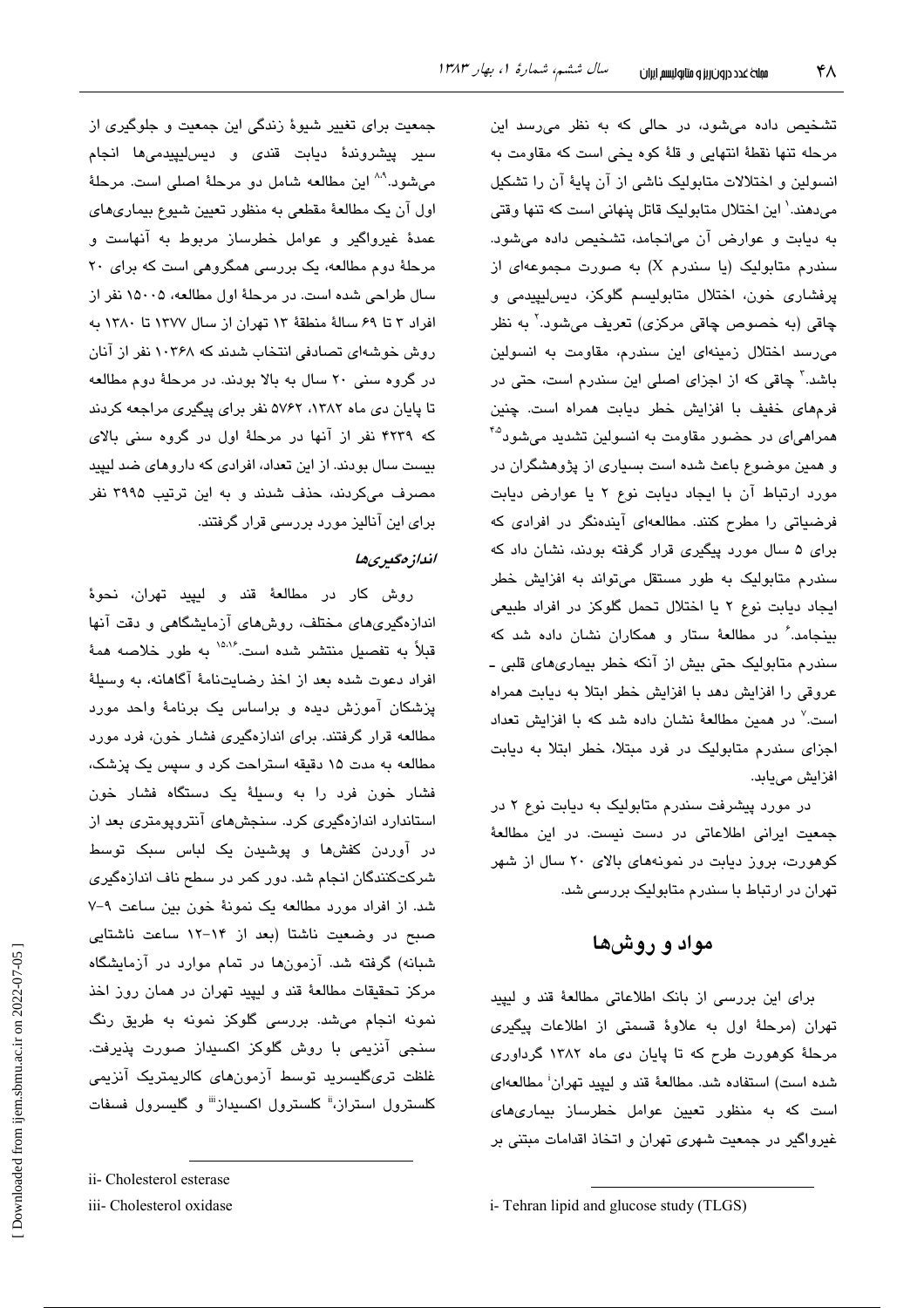تشخیص داده میشود، در حالی که به نظر میرسد این مرحله تنها نقطة انتهایی و قلهٔ کوه یخی است که مقاومت به انسولین و اختلالات متابولیک ناشی از آن پایهٔ آن را تشکیل میدهند.' این اختلال متابولیک قاتل پنهانی است که تنها وقتی به دیابت و عوارض آن می انجامد، تشخیص داده می شود. سندرم متابولیک (یا سندرم X) به صورت مجموعهای از پرفشاری خون، اختلال متابولیسم گلوکز، دیس لیپیدمی و چاقی (به خصوص چاقی مرکزی) تعریف میشود.<sup>۲</sup> به نظر می رسد اختلال زمینهای این سندرم، مقاومت به انسولین باشد. ٔ چاقی که از اجزای اصلی این سندرم است، حتی در فرمهای خفیف با افزایش خطر دیابت همراه است. چنین همرا*هی*ای در حضور مقاومت به انسولین تشدید میشود<sup>ه\*</sup> و همین موضوع باعث شده است بسیاری از پژوهشگران در مورد ارتباط آن با ایجاد دیابت نوع ٢ یا عوارض دیابت فرضیاتی را مطرح کنند. مطالعهای آیندهنگر در افرادی که برای ۵ سال مورد پیگیری قرار گرفته بودند، نشان داد که سندرم متابولیک به طور مستقل میتواند به افزایش خطر ایجاد دیابت نوع ٢ یا اختلال تحمل گلوکز در افراد طبیعی بینجامد. ٔ در مطالعهٔ ستار و همکاران نشان داده شد که سندرم متابولیک حتی بیش از آنکه خطر بیماریهای قلبی ـ عروقی را افزایش دهد یا افزایش خطر ایتلا به دیایت همراه است.<sup>۷</sup> در همین مطالعهٔ نشان داده شد که با افزایش تعداد اجزای سندرم متابولیک در فرد مبتلا، خطر ابتلا به دیابت افزائش مے بائد.

در مورد پیشرفت سندرم متابولیک به دیابت نوع ۲ در جمعیت ایرانی اطلاعاتی در دست نیست. در این مطالعهٔ کوهورت، بروز دیابت در نمونههای بالای ۲۰ سال از شهر تهران در ارتباط با سندرم متابولیک بررسی شد.

## مواد و روشها

برای این بررسی از بانک اطلاعاتی مطالعهٔ قند و لیپید تهران (مرحلهٔ اول به علاوهٔ قسمتی از اطلاعات پیگیری مرحلهٔ کوهورت طرح که تا پایان دی ماه ۱۳۸۲ گرداوری شده است) استفاده شد. مطالعهٔ قند و لیپید تهران<sup>:</sup> مطالعهای است که به منظور تعیین عوامل خطرساز بیماریهای غیرواگیر در جمعیت شهری تهران و اتخاذ اقدامات مبتنی بر

جمعیت برای تغییر شیوهٔ زندگی این جمعیت و جلوگیری از سير پيشروندۀ ديابت قندی و ديسليپيدمیها انجام مي شود.<sup>٨٨</sup> اين مطالعه شامل دو مرحلهٔ اصلي است. مرحلهٔ اول آن یک مطالعهٔ مقطعی به منظور تعیین شیوع بیماریهای عمدهٔ غیرواگیر و عوامل خطرساز مربوط به آنهاست و مرحلهٔ دوم مطالعه، یک بررسی همگروهی است که برای ۲۰ سال طراحی شده است. در مرحلهٔ اول مطالعه، ۱۵۰۰۵ نفر از افراد ٣ تا ۶۹ سالة منطقة ١٣ تهران از سال ١٣٧٧ تا ١٣٨٠ به روش خوشهای تصادفی انتخاب شدند که ۱۰۳۶۸ نفر از آنان در گروه سنی ۲۰ سال به بالا بودند. در مرحلهٔ دوم مطالعه تا پایان دی ماه ۱۳۸۲، ۵۷۶۲ نفر برای پیگیری مراجعه کردند که ۴۲۳۹ نفر از آنها در مرحلهٔ اول در گروه سنی بالای بیست سال بودند. از این تعداد، افرادی که داروهای ضد لیپید مصرف میکردند، حذف شدند و به این ترتیب ۳۹۹۵ نفر برای این آنالیز مورد پررسی قرار گرفتند.

#### انداز مگسری ها

روش كار در مطالعهٔ قند و ليپيد تهران، نحوهٔ اندازهگیریهای مختلف، روشهای آزمایشگاهی و دقت آنها قبلاً به تفصيل منتشر شده است.<sup>۱۵،۱۶</sup> به طور خلاصه همهٔ افراد دعوت شده بعد از اخذ رضایتنامهٔ آگاهانه، به وسیلهٔ یزشکان آموزش دیده و براساس یک برنامهٔ واحد مورد مطالعه قرار گرفتند. برای اندازهگیری فشار خون، فرد مورد مطالعه به مدت ۱۵ دقیقه استراحت کرد و سپس یک پزشک، فشار خون فرد را به وسیلهٔ یک دستگاه فشار خون استاندارد اندازهگیری کرد. سنجشهای آنتروپومتری بعد از در آوردن کفشها و پوشیدن یک لباس سبک توسط شرکتکنندگان انجام شد. دور کمر در سطح ناف اندازهگیری شد. از افراد مورد مطالعه یک نمونهٔ خون بین ساعت ۹-۷ صبح در وضعیت ناشتا (بعد از ۱۴-۱۲ ساعت ناشتایی شبانه) گرفته شد. آزمونها در تمام موارد در آزمایشگاه مرکز تحقیقات مطالعهٔ قند و لیپید تهران در همان روز اخذ نمونه انجام میشد. بررسی گلوکز نمونه به طریق رنگ سنجی آنزیمی با روش گلوکز اکسیداز صورت پذیرفت. غلظت ترىگليسريد توسط آزمون،هاى كالريمتريک آنزيمى کلسترول استراز،<sup></sup>" کلسترول اکسیداز<sup>"</sup> و گلیسرول فسفات

ii- Cholesterol esterase

iii- Cholesterol oxidase

i-Tehran lipid and glucose study (TLGS)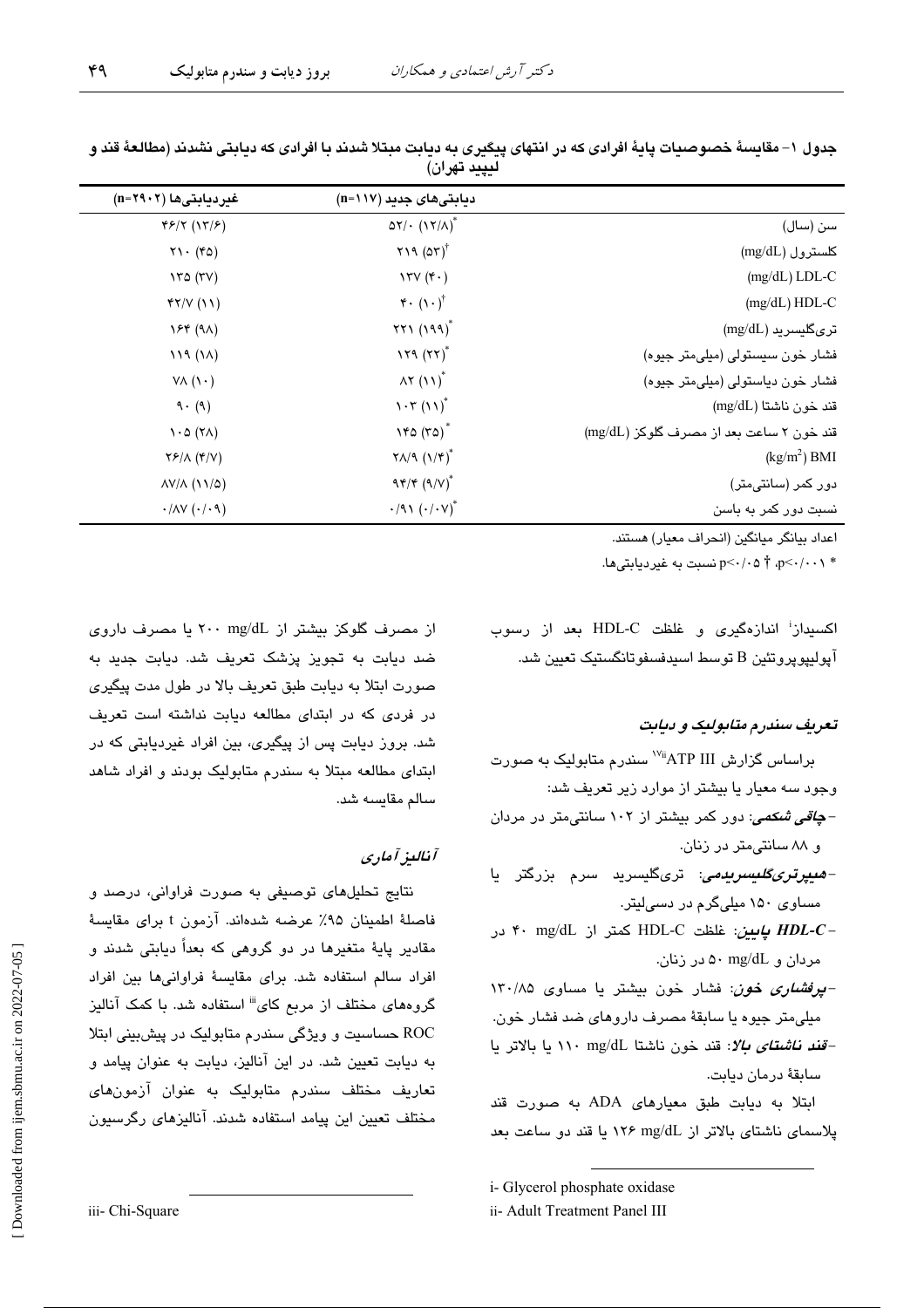۴۹

|                                          | دیابتیهای جدید (۱۱۷=n)                        | غیردیابتیها (۲۹۰۲=n)                        |
|------------------------------------------|-----------------------------------------------|---------------------------------------------|
| سن (سال)                                 | $\Delta Y / \cdot (1Y/\Lambda)^{*}$           | 45/7 (17/5)                                 |
| $(\rm mg/dL)$ كلسترول                    | $Y19 (07)^T$                                  | $Y\setminus (Y\circ)$                       |
| $(mg/dL)$ LDL-C                          | $\forall \forall (\mathfrak{f} \cdot )$       | $\forall x \in (XY)$                        |
| $(mg/dL) HDL-C$                          | $\mathbf{r} \cdot (\mathbf{v} \cdot)^\dagger$ | YY/V(11)                                    |
| ترىگليسريد (mg/dL)                       | $XY1(199)^*$                                  | YF(A)                                       |
| فشار خون سیستولی (میلی متر جیوه)         | $179 (77)^*$                                  | 119(1)                                      |
| فشار خون دیاستولی (میلی متر جیوه)        | $\Lambda Y$ $(11)^*$                          | $V\Lambda$ $(V \cdot)$                      |
| $(mg/dL)$ قند خون ناشتا                  | $\mathcal{N}(\mathcal{N})^*$                  | 9.9)                                        |
| قند خون ۲ ساعت بعد از مصرف گلوکز (mg/dL) | $Y^*$ $(Y^*$                                  | $\lambda$ . $\circ$ ( $\lambda$ )           |
| $(kg/m2)$ BMI                            | $\Upsilon\Lambda/9$ $(\Upsilon/\Upsilon)^*$   | $Y$ $/$ $\wedge$ $(Y/V)$                    |
| دور کمر (سانتیمتر)                       | $94/8$ $(9/8)^*$                              | $\Delta V/\Delta$ (11/2)                    |
| نسبت دور کمر به باسن                     | $\cdot$ /91 $(\cdot/\cdot V)^*$               | $\cdot$ / $\wedge$ Y $(\cdot/\cdot \wedge)$ |

جدول ١– مقايسهٔ خصوصيات پايهٔ افرادي كه در انتهاي پيگيري به ديابت مبتلا شدند با افرادي كه ديابتي نشدند (مطالعهٔ قند و ليپيد تهران)

اعداد ببانگر مبانگین (انجراف معبار) هستند.

\* p<-/··\ \* p<-/·· ^ \* p<-/- شىبت به غير ديابتي ها.

اکسیداز<sup>:</sup> اندازهگیری و غلظت HDL-C بعد از رسوب آپوليپوپروتئين B توسط اسيدفسفوتانگستيک تعيين شد.

#### تعریف سندرم متابولیک و دیابت

براساس گزارش ATP III" سندرم متابولیک به صورت وجود سه معیار یا بیشتر از موارد زیر تعریف شد: – *چاقی شکمی: دو*ر کمر بیشتر از ۱۰۲ سانتیمتر در مردان و ۸۸ سانتی متر در زنان. *-ھىيرترىگلىسرىدىى: ترىگل*ىسرىد سرم بزرگتر يا مساوی ۱۵۰ میلیگرم در دسیلیتر. - HDL-C *پایین:* غلظت HDL-C کمتر از mg/dL در مردان و mg/dL ۵۰ در زنان. - *پرفشاری خون*: فشار خون بیشتر یا مساوی ۱۳۰/۸۵ ميلي متر جيوه يا سابقة مصرف داروهاي ضد فشار خون. -قند ن*اشتای بالا*: قند خون ناشتا mg/dL ۱۱۰ یا بالاتر یا ساىقة درمان دىاىت.

ابتلا به دیابت طبق معیارهای ADA به صورت قند پلاسمای ناشتای بالاتر از mg/dL ۱۲۶ با قند دو ساعت بعد

i- Glycerol phosphate oxidase

ii- Adult Treatment Panel III

از مصرف گلوکز بیشتر از r۰۰ mg/dL با مصرف داروی ضد دبابت به تجویز پزشک تعریف شد. دبابت جدید به صورت ابتلا به دیابت طبق تعریف بالا در طول مدت پیگیری در فردی که در ابتدای مطالعه دیابت نداشته است تعریف شد. بروز دیابت پس از پیگیری، بین افراد غیردیابتی که در ابتدای مطالعه مبتلا به سندرم متابولیک بودند و افراد شاهد سالم مقايسه شد.

### آناليز آماري

نتايج تحليلهاى توصيفى به صورت فراوانى، درصد و فاصلة اطمينان ٩۵٪ عرضه شدهاند. آزمون t براى مقايسة مقادیر پایهٔ متغیرها در دو گروهی که بعداً دیابتی شدند و افراد سالم استفاده شد. برای مقایسهٔ فراوانیها بین افراد گروههای مختلف از مربع کای<sup>iii</sup> استفاده شد. با کمک آنالیز ROC حساسیت و ویژگی سندرم متابولیک در پیشبینی ابتلا به دبابت تعبین شد. در این آنالیز، دبابت به عنوان پیامد و تعاریف مختلف سندرم متابولیک به عنوان آزمونهای مختلف تعیین این پیامد استفاده شدند. آنالیزهای رگرسیون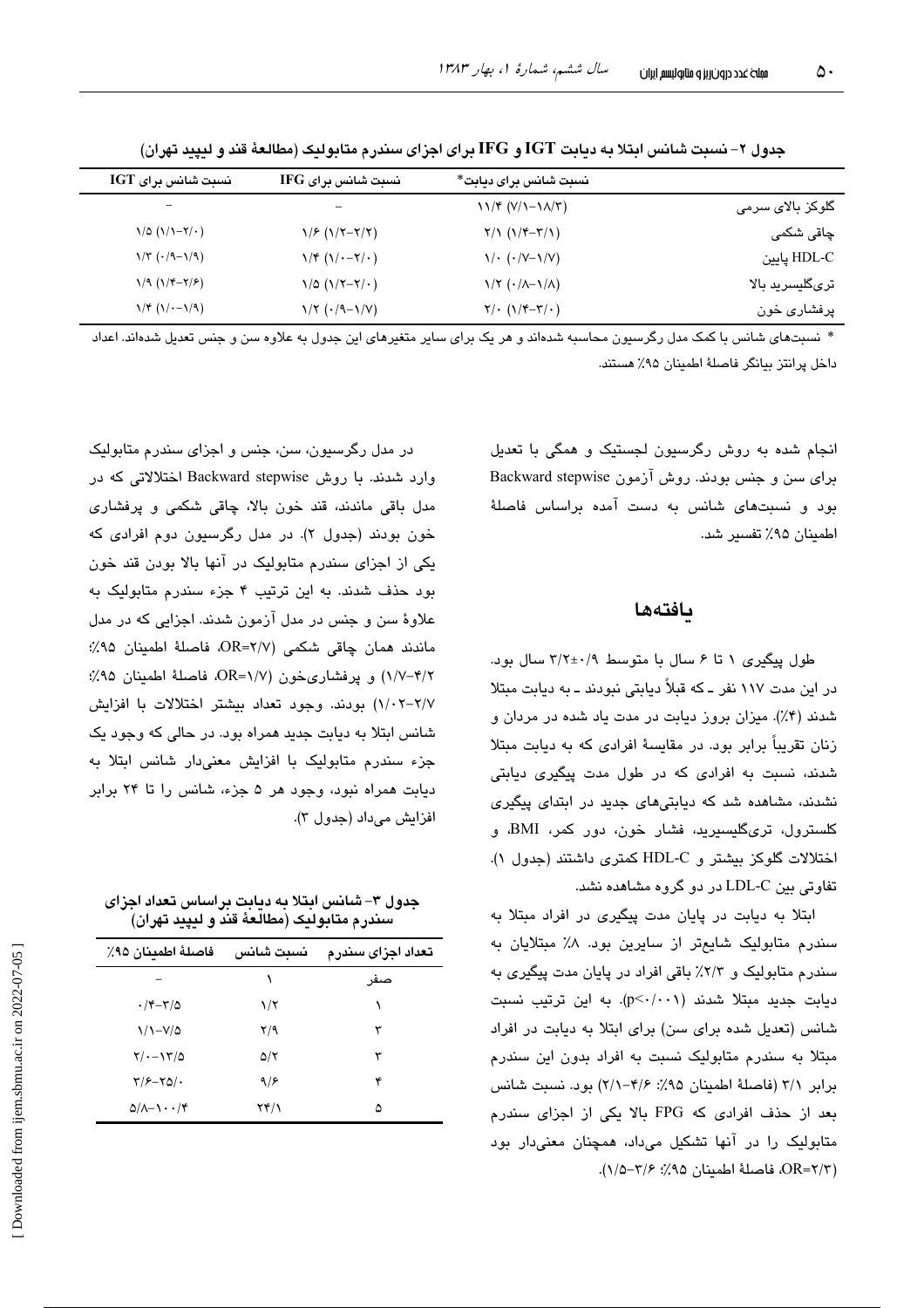|                           | نسبت شانس برای دیابت*                                      | نسبت شانس برای IFG                                         | نسبت شانس برای IGT                           |
|---------------------------|------------------------------------------------------------|------------------------------------------------------------|----------------------------------------------|
| گلوکز بالا <i>ی</i> سرمی  | $11/F (V/1 - 1\lambda/T)$                                  |                                                            |                                              |
| چاق <i>ی</i> شکم <i>ی</i> | $Y/\gamma$ $(\gamma/\gamma-\gamma/\gamma)$                 | $1/F (1/Y-Y/Y)$                                            | $\binom{1}{0}$ $\binom{1}{1}$ $\binom{1}{1}$ |
| HDL-C يايين               | $\sqrt{\cdot$ ( $\cdot/\nu-\sqrt{\nu}}$ )                  | $1/\mathfrak{r}$ $(1/\cdot -\mathfrak{r}/\cdot)$           | $\sqrt{\tau}$ ( $\cdot$ /9- $\sqrt{9}$ )     |
| ترىگليسريد بالا           | $\frac{1}{\sqrt{7}} \left( \frac{\cdot}{\sqrt{7}} \right)$ | $\binom{1}{0}$ $(\binom{1}{1}-\binom{1}{1})$               | $1/9 (1/7 - 7/5)$                            |
| پرفشاری خون               | $Y/\cdot (1/\mathfrak{r}-\mathfrak{r}/\cdot)$              | $\frac{\gamma}{\tau}$ ( $\cdot$ /9- $\frac{\gamma}{\nu}$ ) | $\binom{1}{r}$ $\binom{1}{r}$                |

جدول ۲– نسبت شانس ابتلا به دیابت IGT و IFG برای اجزای سندرم متابولیک (مطالعهٔ قند و لیپید تهران)

\* نسبتهای شانس با کمک مدل رگرسبون محاسبه شدهاند و هر یک برای سایر متغیرهای این جدول به علاوه سن و جنس تعدیل شدهاند. اعداد داخل يرانتز بيانگر فاصلهٔ اطمينان ۹۵٪ هستند.

> انجام شده به روش رگرسیون لجستیک و همگی با تعدیل برای سن و جنس بودند. روش آزمون Backward stepwise بود و نسبتهای شانس به دست آمده براساس فاصلهٔ اطمينان ٩۵٪ تفسير شد.

#### بافتهها

طول پیگیری ١ تا ۶ سال با متوسط ٢/٢±٢/٢ سال بود. در این مدت ۱۱۷ نفر ـ که قبلاً دیابتی نبودند ـ به دیابت مبتلا شدند (۴٪). میزان بروز دیابت در مدت یاد شده در مردان و زنان تقریباً برابر بود. در مقایسهٔ افرادی که به دیابت میتلا شدند، نسبت به افرادی که در طول مدت پیگیری دیابتی نشدند، مشاهده شد که دیابتی های جدید در ابتدای پیگیری کلسترول، تریگلیسیرید، فشار خون، دور کمر، BMI، و اختلالات گلوکز بیشتر و HDL-C کمتری داشتند (جدول ۱). تفاوتی بین LDL-C در دو گروه مشاهده نشد.

ابتلا به دیابت در پایان مدت پیگیری در افراد مبتلا به سندرم متابولیک شایعتر از سایرین بود. ۸٪ مبتلایان به سندرم متابولیک و ۲/۳٪ باقی افراد در پایان مدت پیگیری به ديابت جديد مبتلا شدند (p<-/r>/. به اين ترتيب نسبت شانس (تعدیل شده برای سن) برای ابتلا به دیابت در افراد مبتلا به سندرم متابولیک نسبت به افراد بدون این سندرم برابر ٣/١ (فاصلة اطمينان ٩٥٪: ٢/۶–٢/١) بود. نسبت شانس بعد از حذف افرادی که FPG بالا یکی از اجزای سندرم متابولیک را در آنها تشکیل میداد، همچنان معنیدار بود (٥٢/٢=OR)، فاصلة اطمينان ٢/٥٪؛ ٢/٥-١/٥).

در مدل رگرسیون، سن، جنس و اجزای سندرم متابولیک وارد شدند. با روش Backward stepwise اختلالاتی که در مدل باقی ماندند، قند خون بالا، چاقی شکمی و پرفشاری خون بودند (جدول ۲). در مدل رگرسیون دوم افرادی که یکی از اجزای سندرم متابولیک در آنها بالا بودن قند خون بود حذف شدند. به این ترتیب ۴ جزء سندرم متابولیک به علاوهٔ سن و جنس در مدل آزمون شدند. اجزایی که در مدل ماندند همان چاقی شکمی (۲/۷=OR، فاصلهٔ اطمینان ۹۵٪؛ ۰/۱/-۴/۲) و پرفشاریخون (۰/۷=OR، فاصلهٔ اطمینان ۹۵٪؛ ٠/١/-٢-١/٢) بودند. وجود تعداد بيشتر اختلالات با افزايش شانس ابتلا به دیابت جدید همراه بود. در حالی که وجود یک جزء سندرم متابولیک با افزایش معنیدار شانس ابتلا به دیابت همراه نبود، وجود هر ۵ جزء، شانس را تا ۲۴ برابر افزايش مىداد (جدول ٣).

جدول ۳– شانس ابتلا به دیابت براساس تعداد اجزای سندرم متابوليک (مطالعهٔ قند و ليپيد تهران)

| فاصلهٔ اطمينان ۹۵٪                         | نسىت شانس                          | تعداد اجزاى سندرم |
|--------------------------------------------|------------------------------------|-------------------|
|                                            |                                    | صنفر              |
| $\cdot$ /۴ $-$ ۳/۵                         | $\frac{1}{\tau}$                   |                   |
| $\frac{1}{2}$                              | $Y$ <sup><math>\gamma</math></sup> | ٣                 |
| $Y/\cdot - Y^2/\Delta$                     | ۵/۲                                | ٣                 |
| $\frac{1}{2}$                              | ۹۱۶                                | ۴                 |
| $\Delta/\lambda-\lambda\cdot\cdot\prime$ ۴ | ۲۴/۱                               | ۵                 |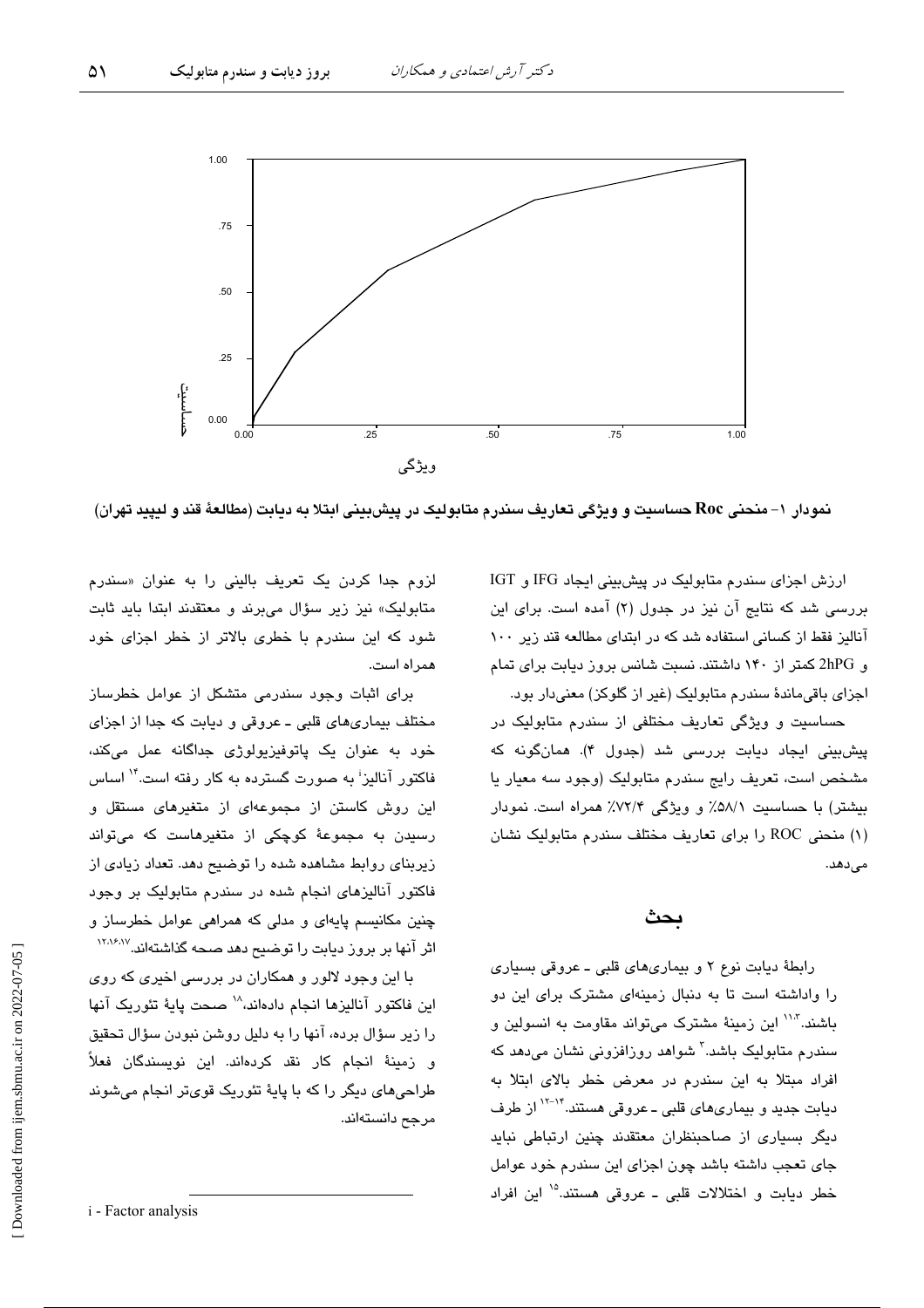

ويژگى

نمودار ۱– منحنی Roc حساسیت و ویژگی تعاریف سندرم متابولیک در پیشبینی ابتلا به دیابت (مطالعهٔ قند و لیپید تهران)

ارزش اجزای سندرم متابولیک در پیشبینی ایجاد IFG و IGT بررسی شد که نتایج آن نیز در جدول (۲) آمده است. برای این آنالیز فقط از کسانی استفاده شد که در ابتدای مطالعه قند زیر ۱۰۰ و 2hPG کمتر از ۱۴۰ داشتند. نسبت شانس بروز دیابت برای تمام اجزای باقی ماندهٔ سندرم متابولیک (غیر از گلوکز) معنی دار بود.

حساسیت و ویژگی تعاریف مختلفی از سندرم متابولیک در پیشبینی ایجاد دیابت بررسی شد (جدول ۴). همانگونه که مشخص است، تعریف رایج سندرم متابولیک (وجود سه معیار یا بیشتر) با حساسیت ۵۸/۱٪ و ویژگی ۷۲/۴٪ همراه است. نمودار (۱) منحنی ROC را برای تعاریف مختلف سندرم متابولیک نشان مىدھد.

### بحث

رابطهٔ دیابت نوع ۲ و بیماریهای قلبی ـ عروقی بسیاری را واداشته است تا به دنبال زمینهای مشترک برای این دو باشند."`` این زمینهٔ مشترک میتواند مقاومت به انسولین و سندرم متابولیک باشد.<sup>۳</sup> شواهد روزافزونی نشان میدهد که افراد مبتلا به این سندرم در معرض خطر بالای ابتلا به دیابت جدید و بیماریهای قلبی ـ عروقی هستند.<sup>۱۴–۱۲</sup> از طرف دیگر بسیاری از صاحبنظران معتقدند چنین ارتباطی نباید جای تعجب داشته باشد چون اجزای این سندرم خود عوامل خطر دیابت و اختلالات قلبی ـ عروقی هستند.<sup>۱۵</sup> این افراد

لزوم جدا کردن یک تعریف بالینی را به عنوان «سندرم متابولیک» نیز زیر سؤال میبرند و معتقدند ابتدا باید ثابت شود که این سندرم با خطری بالاتر از خطر اجزای خود همراه است.

برای اثبات وجود سندرمی متشکل از عوامل خطرساز مختلف بیماریهای قلبی ـ عروقی و دیابت که جدا از اجزای خود به عنوان یک پاتوفیزیولوژی جداگانه عمل میکند، فاکتور آنالیز<sup>ا</sup> به صورت گسترده به کار رفته است.<sup>۱۴</sup> اساس این روش کاستن از مجموعهای از متغیرهای مستقل و رسیدن به مجموعهٔ کوچکی از متغیرهاست که میتواند زیربنای روابط مشاهده شده را توضیح دهد. تعداد زیادی از فاکتور آنالیزهای انجام شده در سندرم متابولیک بر وجود چنین مکانیسم پایهای و مدلی که همراهی عوامل خطرساز و اثر آنها بر بروز دیابت را توضیح دهد صحه گذاشتهاند.<sup>۱۲،۱۶،۷</sup>

یا این وجود لالور و همکاران در پررسی اخیری که روی اين فاكتور آناليزها انجام دادهاند، `` صحت ياية تئوريك آنها را زیر سؤال برده، آنها را به دلیل روشن نبودن سؤال تحقیق و زمینهٔ انجام کار نقد کردهاند. این نویسندگان ف**ع**لاً طراحیهای دیگر را که با پایهٔ تئوریک قویتر انجام میشوند مرجح دانستەاند.

i - Factor analysis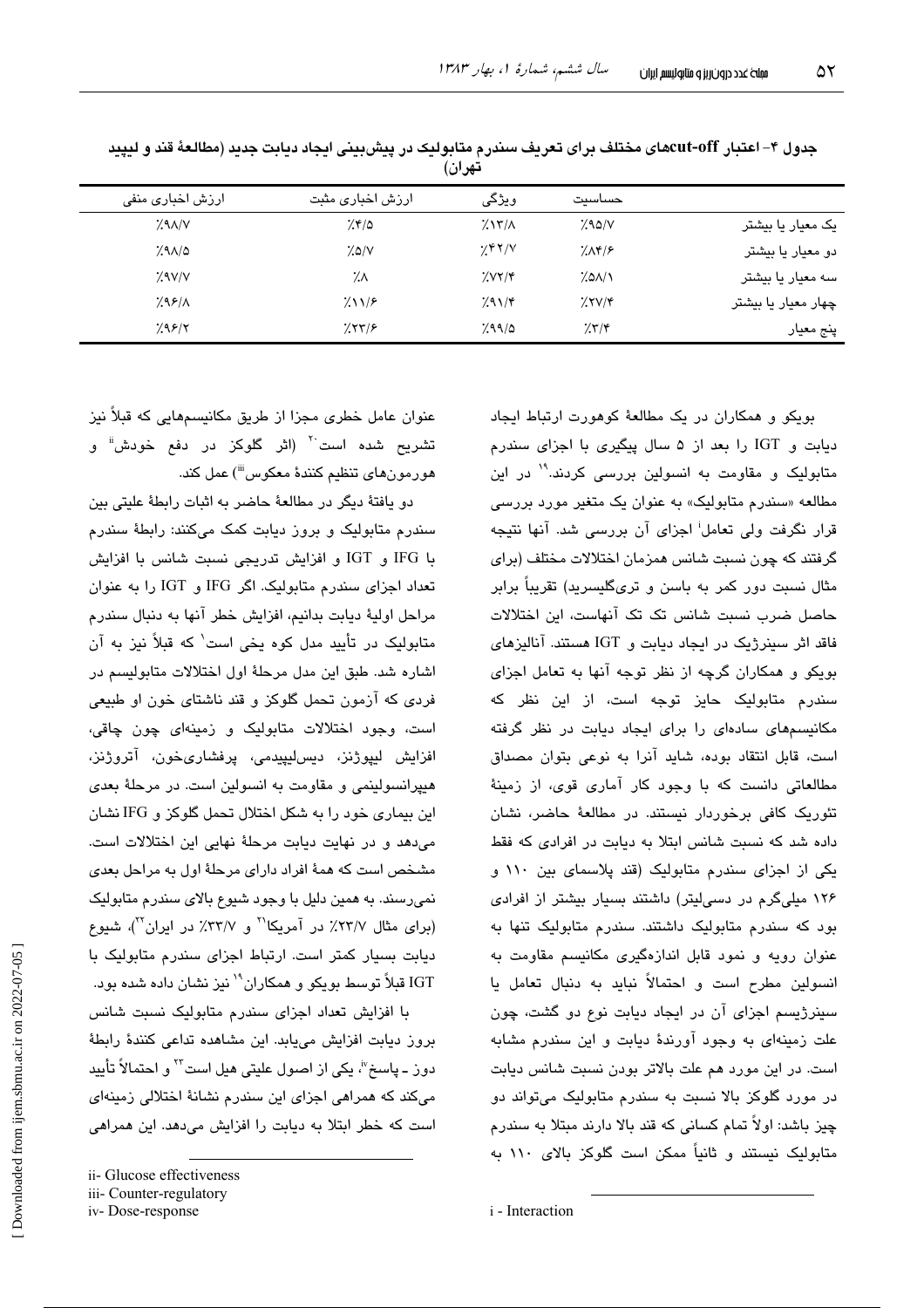|                     |                                       | 10 J V              |                  |                  |
|---------------------|---------------------------------------|---------------------|------------------|------------------|
|                     | حساست                                 | ويژگى               | ارزش اخباری مثبت | ارزش اخباری منفی |
| یک معیار یا بیشتر   | 7.90/N                                | $7.17/\lambda$      | 7.870            | 7.9A/V           |
| دو معیار یا بیشتر   | 7.187                                 | 2.87/8              | 7.0/V            | 7.91/2           |
| سه معیار یا بیشتر   | $\frac{1}{2}$ $\Delta\Lambda/\Lambda$ | 7.577               | ۰⁄.٨             | $X$ $V$          |
| چهار معیار یا بیشتر | 7.7V/F                                | $7.91/\mathfrak{r}$ | $2\lambda$       | 7.99/1           |
| پنج معيار           | 7.77                                  | 7.99/0              | 755/             | 7.98/7           |

جدول ۴– اعتبار cut-offهای مختلف برای تعریف سندرم متابولیک در پیشبینی ایجاد دیابت جدید (مطالعهٔ قند و لیپید ثم ان

عنوان عامل خطری مجزا از طریق مکانسیمهایی که قبلاً نیز تشریح شده است<sup>۲۰</sup> (اثر گلوکز در دفع خودش<sup>ة</sup> و هورمونهاي تنظيم كنندهٔ معكوس<sup>iii</sup>) عمل كند.

دو. بافتهٔ دیگر در مطالعهٔ حاضر به اثبات رابطهٔ علیتی بین سندرم متابولیک و بروز دیابت کمک میکنند: رابطهٔ سندرم با IFG و IGT و افزایش تدریجی نسبت شانس با افزایش تعداد اجزای سندرم متابولیک اگر IFG و IGT را به عنوان مراحل اولية ديابت بدانيم، افزايش خطر آنها به دنبال سندرم متابولیک در تأیید مدل کوه یخی است' که قبلاً نیز به آن اشاره شد. طبق این مدل مرحلهٔ اول اختلالات متابولسیم در فردی که آزمون تحمل گلوکز و قند ناشتای خون او طبیعی است، وجود اختلالات متابوليک و زمينهای چون چاقی، افزایش لیپوژنز، دیسلیپیدمی، پرفشاریخون، آتروژنز، هیپرانسولینمی و مقاومت به انسولین است. در مرحلهٔ بعدی این بیماری خود را به شکل اختلال تحمل گلوکز و IFG نشان می دهد و در نهایت دیایت مرحلهٔ نهایی این اختلالات است. مشخص است که همهٔ افراد دارای مرحلهٔ اول به مراحل بعدی نمي رسند. به همين دليل با وجود شيوع بالاي سندرم متابوليک (برای مثال ۲۳/۷٪ در آمریکا<sup>۲۰</sup> و ۳۲/۷٪ در ایران<sup>۲۲</sup>)، شیوع دیابت بسیار کمتر است. ارتباط اجزای سندرم متابولیک با IGT قبلاً توسط بویکو و همکاران<sup>۱</sup>۰ نیز نشان داده شده بود.

یا افزایش تعداد اجزای سندرم متابولیک نسبت شانس بروز دیابت افزایش می یابد. این مشاهده تداعی کنندهٔ رابطهٔ دورْ ـ پاسخ<sup>ِ ن</sup>ُ، یکی از اصول علیتی هیل است<sup>7۲</sup> و احتمالاً تأیید می کند که همراهی اجزای این سندرم نشانهٔ اختلالی زمینهای است که خطر ابتلا به دیابت را افزایش میدهد. این همراهی بوبکو و همکاران در یک مطالعهٔ کوهورت ارتباط ایجاد دیابت و IGT را بعد از ۵ سال پیگیری با اجزای سندرم متابولیک و مقاومت به انسولین بررس*ی* کردند.<sup>۱۹</sup> در این مطالعه «سندرم متابولیک» به عنوان یک متغیر مورد بررسی قرار نگرفت ولی تعامل<sup>:</sup> اجزای آن بررسی شد. آنها نتیجه گرفتند که چون نسبت شانس همزمان اختلالات مختلف (برای مثال نسبت دور کمر به پاسن و تریگلیسرید) تقریباً برابر حاصل ضرب نسبت شانس تک تک آنهاست، این اختلالات فاقد اثر سینرژیک در ایجاد دیابت و IGT هستند. آنالیزهای بوبکو و همکاران گرچه از نظر توجه آنها به تعامل اجزای سندرم متابولیک حایز توجه است، از این نظر که مکانیسمهای سادهای را برای ایجاد دیابت در نظر گرفته است، قابل انتقاد بوده، شاید آنرا به نوعی بتوان مصداق مطالعاتی دانست که با وجود کار آماری قوی، از زمینهٔ تئوریک کافی برخوردار نیستند. در مطالعهٔ حاضر، نشان داده شد که نسبت شانس ابتلا به دبابت در افرادی که فقط یکی از اجزای سندرم متابولیک (قند پلاسمای بین ۱۱۰ و ۱۲۶ میلیگرم در دسهایتر) داشتند بسیار بیشتر از افرادی بود که سندرم متابولیک داشتند. سندرم متابولیک تنها به عنوان رویه و نمود قابل اندازهگیری مکانیسم مقاومت به انسولين مطرح است و احتمالاً نبايد به دنبال تعامل يا سنزرژیسم اجزای آن در ایجاد دیابت نوع دو گشت، چون علت زمینهای به وجود آورندهٔ دیابت و این سندرم مشابه است. در این مورد هم علت بالاتر بودن نسبت شانس دیابت در مورد گلوکز بالا نسبت به سندرم متابولیک میتواند دو چیز باشد: اولاً تمام کسانی که قند بالا دارند مبتلا به سندرم متابولیک نیستند و ثانیاً ممکن است گلوکز بالای ۱۱۰ به

ii- Glucose effectiveness

iii- Counter-regulatory

iv-Dose-response

i - Interaction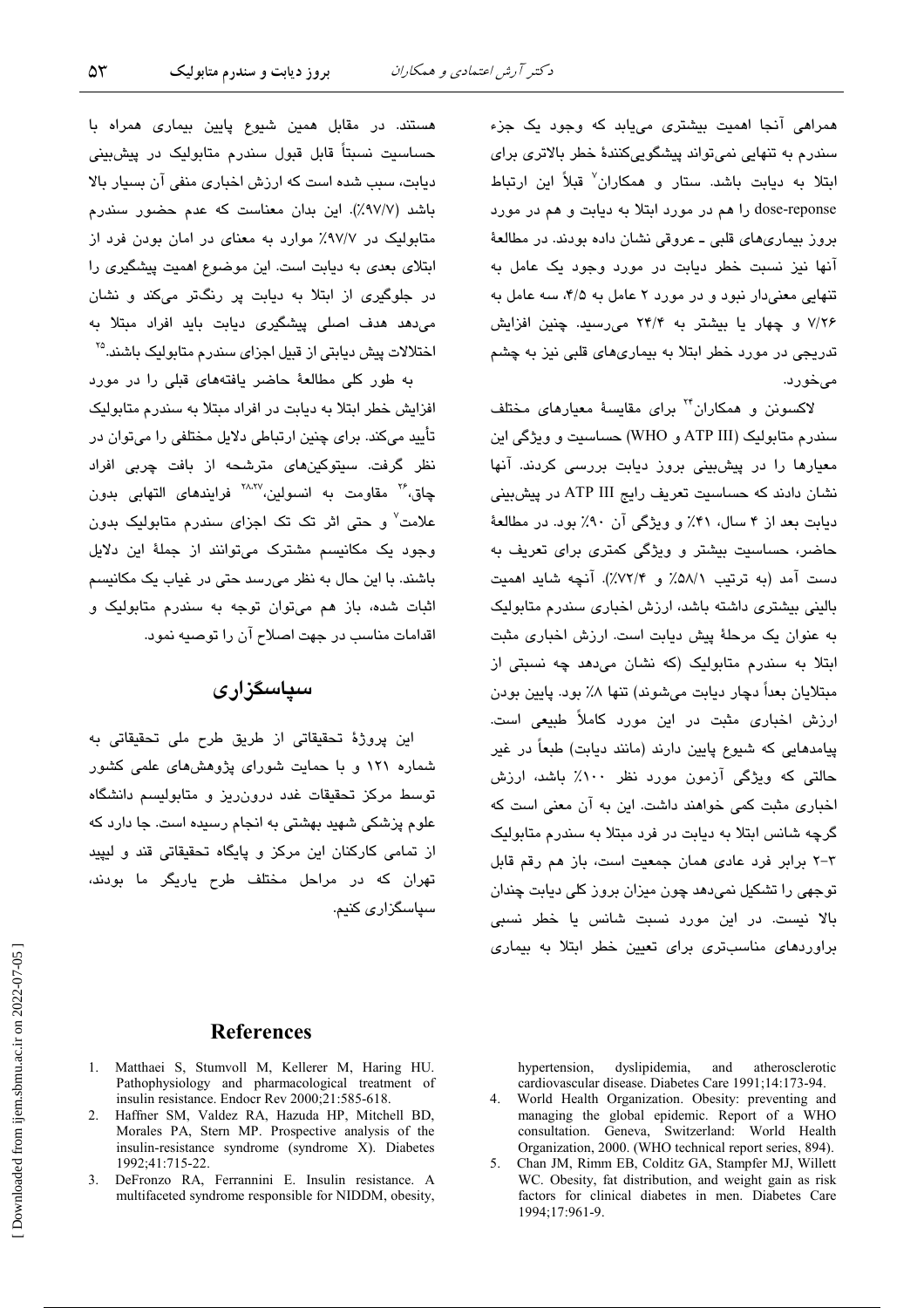همراهي آنجا اهميت بيشتري مي يابد كه وجود يک جزء سندرم به تنهایی نمیتواند پیشگویی کنندهٔ خطر بالاتری برای ابتلا به دیابت باشد. ستار و همکاران<sup>۷</sup> قبلاً این ارتباط dose-reponse را هم در مورد ابتلا به ديابت و هم در مورد بروز بیماریهای قلبی ـ عروقی نشان داده بودند. در مطالعهٔ آنها نیز نسبت خطر دیابت در مورد وجود یک عامل به تنهایی معنیدار نبود و در مورد ۲ عامل به ۴/۵، سه عامل به ۷/۲۶ و چهار یا بیشتر به ۲۴/۴ میرسید. چنین افزایش تدریجی در مورد خطر ابتلا به بیماریهای قلبی نیز به چشم مے خورد.

لاکسونن و همکاران<sup>۲۲</sup> برای مقایسهٔ معیارهای مختلف سندرم متابولیک (ATP III و WHO) حساسیت و ویژگی این معیارها را در پیشبینی بروز دیابت بررسی کردند. آنها نشان دادند که حساسیت تعریف رایج ATP III در پیش بینی دبابت بعد از ۴ سال، ۴۱٪ و ویژگی آن ۹۰٪ بود. در مطالعهٔ حاضر، حساسیت بیشتر و ویژگی کمتری برای تعریف به دست آمد (به ترتیب ۵۸/۱٪ و ۷۲/۴٪). آنچه شاید اهمیت بالبنی بیشتری داشته باشد، ارزش اخباری سندرم متابولیک به عنوان یک مرحلهٔ پیش دیابت است. ارزش اخباری مثبت ابتلا به سندرم متابولیک (که نشان میدهد چه نسبتی از میتلایان بعداً دچار دیابت میشوند) تنها ۸٪ بود. پایین بودن ارزش اخبار*ی* مثبت در این مورد کاملاً طبیعی است. پیامدهایی که شیوع پایین دارند (مانند دیابت) طبعاً در غیر حالتی که ویژگی آزمون مورد نظر ۱۰۰٪ پاشد، ارزش اخباری مثبت کمی خواهند داشت. این به آن معنی است که گرچه شانس ابتلا به دیابت در فرد مبتلا به سندرم متابولیک ٣–٢ برابر فرد عادی همان جمعیت است، باز هم رقم قابل توجهی را تشکیل نمیدهد چون میزان بروز کلی دیابت چندان بالا نیست. در این مورد نسبت شانس یا خطر نسبی براوردهای مناسبتری برای تعیین خطر ابتلا به بیماری

هستند. در مقابل همین شیوع پایین بیمار*ی* همراه با حساسیت نسبتاً قابل قبول سندرم متابولیک در پیشبینی دیابت، سبب شده است که ارزش اخباری منفی آن بسیار بالا باشد (٩٧/٧٪). این بدان معناست که عدم حضور سندرم متابولیک در ۹۷/۷٪ موارد به معنای در امان بودن فرد از ابتلای بعدی به دیابت است. این موضوع اهمیت پیشگیری را در جلوگیری از ابتلا به دیابت پر رنگتر میکند و نشان میدهد هدف اصلی پیشگیری دیابت باید افراد مبتلا به اختلالات پیش دیابتی از قبیل اجزای سندرم متابولیک باشند.<sup>۲۵</sup>

به طور کلی مطالعهٔ حاضر یافتههای قبلی را در مورد افزایش خطر ابتلا به دیابت در افراد مبتلا به سندرم متابولیک تأييد ميكند. براي چنين ارتباطي دلايل مختلفي را ميتوان در نظر گرفت. سیتوکینهای مترشحه از بافت چربی افراد چاق،<sup>۲۶</sup> مقاومت به انسولین،۱<sup>۸٬۲۷</sup> فرایند*ه*ای التهابی بدون علامت<sup>۷</sup> و حتی اثر تک تک اجزای سندرم متابولیک بدون وجود یک مکانیسم مشترک میتوانند از جملهٔ این دلایل باشند. با این حال به نظر می رسد حتی در غیاب یک مکانیسم اثبات شده، باز هم می توان توجه به سندرم متابولیک و اقدامات مناسب در جهت اصلاح آن را توصيه نمود.

# سیاسگزاری

اين پروژهٔ تحقيقاتی از طريق طرح ملی تحقيقاتی به شماره ۱۲۱ و با حمایت شورای پژوهشهای علمی کشور توسط مرکز تحقیقات غدد درون ریز و متابولیسم دانشگاه علوم پزشکی شهید بهشتی به انجام رسیده است. جا دارد که از تمامی کارکنان این مرکز و پایگاه تحقیقاتی قند و لیپید تهران که در مراحل مختلف طرح پاریگر ما بودند، سیاسگزاری کند.

### **References**

- 1. Matthaei S, Stumvoll M, Kellerer M, Haring HU. Pathophysiology and pharmacological treatment of insulin resistance. Endocr Rev 2000;21:585-618.
- $2.$ Haffner SM, Valdez RA, Hazuda HP, Mitchell BD, Morales PA, Stern MP. Prospective analysis of the insulin-resistance syndrome (syndrome X). Diabetes 1992;41:715-22.
- 3. DeFronzo RA, Ferrannini E. Insulin resistance. A multifaceted syndrome responsible for NIDDM, obesity,

hypertension, dyslipidemia, and atherosclerotic cardiovascular disease. Diabetes Care 1991;14:173-94.

- $4<sup>1</sup>$ World Health Organization. Obesity: preventing and managing the global epidemic. Report of a WHO consultation. Geneva, Switzerland: World Health Organization, 2000. (WHO technical report series, 894).
- Chan JM, Rimm EB, Colditz GA, Stampfer MJ, Willett WC. Obesity, fat distribution, and weight gain as risk factors for clinical diabetes in men. Diabetes Care 1994;17:961-9.